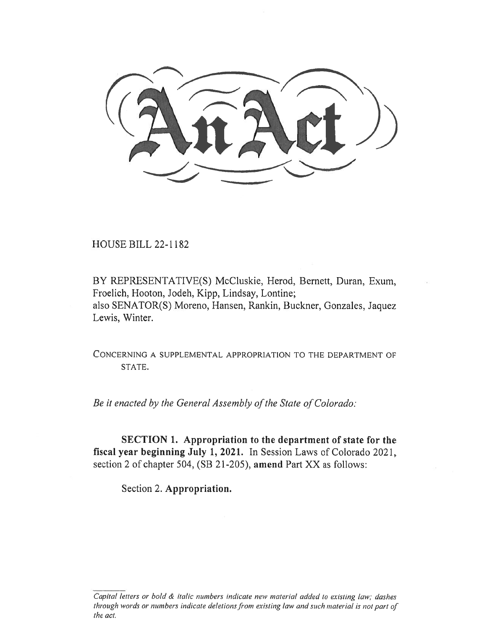HOUSE BILL 22-1182

BY REPRESENTATIVE(S) McCluskie, Herod, Bernett, Duran, Exum, Froelich, Hooton, Jodeh, Kipp, Lindsay, Lontine; also SENATOR(S) Moreno, Hansen, Rankin, Buckner, Gonzales, Jaquez Lewis, Winter.

CONCERNING A SUPPLEMENTAL APPROPRIATION TO THE DEPARTMENT OF STATE.

Be it enacted by the General Assembly of the State of Colorado:

SECTION 1. Appropriation to the department of state for the fiscal year beginning July 1, 2021. In Session Laws of Colorado 2021, section 2 of chapter 504, (SB 21-205), amend Part XX as follows:

Section 2. Appropriation.

Capital letters or bold & italic numbers indicate new material added to existing law; dashes through words or numbers indicate deletions from existing law and such material is not part of the act.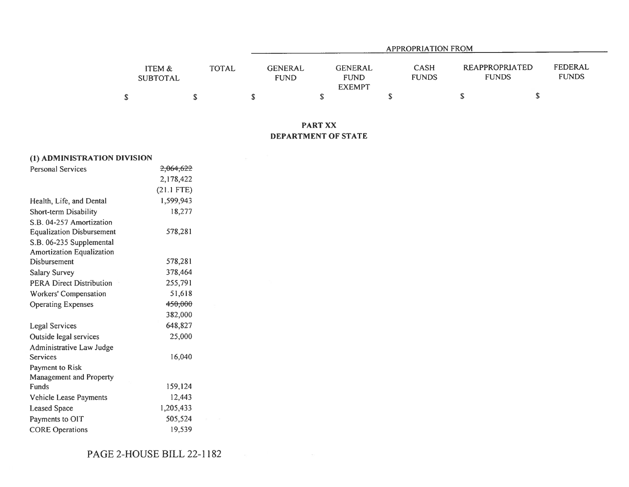|                           |              |                               | <b>APPROPRIATION FROM</b>                      |                             |                                       |                         |  |  |  |  |
|---------------------------|--------------|-------------------------------|------------------------------------------------|-----------------------------|---------------------------------------|-------------------------|--|--|--|--|
| ITEM &<br><b>SUBTOTAL</b> | <b>TOTAL</b> | <b>GENERAL</b><br><b>FUND</b> | <b>GENERAL</b><br><b>FUND</b><br><b>EXEMPT</b> | <b>CASH</b><br><b>FUNDS</b> | <b>REAPPROPRIATED</b><br><b>FUNDS</b> | FEDERAL<br><b>FUNDS</b> |  |  |  |  |
|                           |              |                               |                                                |                             |                                       |                         |  |  |  |  |

## PART XX DEPARTMENT OF STATE

| (1) ADMINISTRATION DIVISION      |                      |  |
|----------------------------------|----------------------|--|
| <b>Personal Services</b>         | <del>2,064,622</del> |  |
|                                  | 2,178,422            |  |
|                                  | $(21.1$ FTE)         |  |
| Health, Life, and Dental         | 1,599,943            |  |
| Short-term Disability            | 18,277               |  |
| S.B. 04-257 Amortization         |                      |  |
| <b>Equalization Disbursement</b> | 578,281              |  |
| S.B. 06-235 Supplemental         |                      |  |
| <b>Amortization Equalization</b> |                      |  |
| Disbursement                     | 578,281              |  |
| <b>Salary Survey</b>             | 378,464              |  |
| <b>PERA Direct Distribution</b>  | 255,791              |  |
| Workers' Compensation            | 51,618               |  |
| <b>Operating Expenses</b>        | <del>450,000</del>   |  |
|                                  | 382,000              |  |
| Legal Services                   | 648,827              |  |
| Outside legal services           | 25,000               |  |
| Administrative Law Judge         |                      |  |
| Services                         | 16,040               |  |
| Payment to Risk                  |                      |  |
| Management and Property          |                      |  |
| Funds                            | 159,124              |  |
| Vehicle Lease Payments           | 12,443               |  |
| Leased Space                     | 1,205,433            |  |
| Payments to OIT                  | 505,524              |  |
| <b>CORE Operations</b>           | 19.539               |  |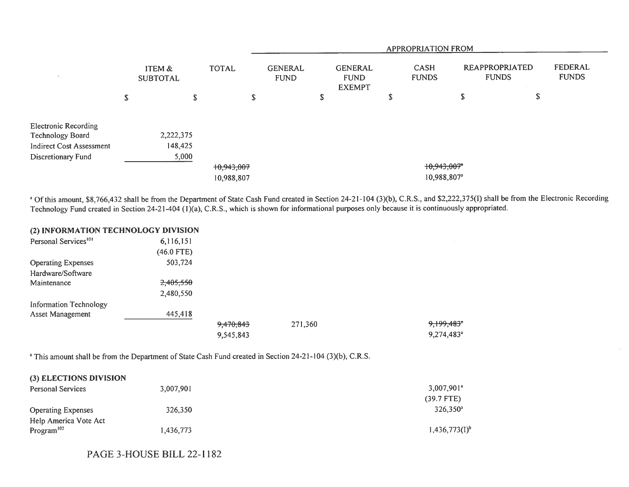|                                                                                    |                                      |                      |              |                          | APPROPRIATION FROM            |        |                                                |   |                                        |   |                                |                         |
|------------------------------------------------------------------------------------|--------------------------------------|----------------------|--------------|--------------------------|-------------------------------|--------|------------------------------------------------|---|----------------------------------------|---|--------------------------------|-------------------------|
| 397                                                                                | <b>ITEM &amp;</b><br><b>SUBTOTAL</b> |                      | <b>TOTAL</b> |                          | <b>GENERAL</b><br><b>FUND</b> |        | <b>GENERAL</b><br><b>FUND</b><br><b>EXEMPT</b> |   | <b>CASH</b><br><b>FUNDS</b>            |   | REAPPROPRIATED<br><b>FUNDS</b> | FEDERAL<br><b>FUNDS</b> |
|                                                                                    | \$                                   |                      | \$           | S                        |                               | ጦ<br>ъ |                                                | Φ |                                        | J | P                              |                         |
| <b>Electronic Recording</b><br>Technology Board<br><b>Indirect Cost Assessment</b> |                                      | 2,222,375<br>148,425 |              |                          |                               |        |                                                |   |                                        |   |                                |                         |
| Discretionary Fund                                                                 |                                      | 5,000                |              | 10,943,007<br>10,988,807 |                               |        |                                                |   | 10,943,007*<br>10,988,807 <sup>a</sup> |   |                                |                         |

<sup>a</sup> Of this amount, \$8,766,432 shall be from the Department of State Cash Fund created in Section 24-21-104 (3)(b), C.R.S., and \$2,222,375(I) shall be from the Electronic Recording Technology Fund created in Section 24-21-404 (1)(a), C.R.S., which is shown for informational purposes only because it is continuously appropriated.

 $\sim$ 

## (2) INFORMATION TECHNOLOGY DIVISION

| Personal Services <sup>101</sup> | 6,116,151    |           |         |                        |
|----------------------------------|--------------|-----------|---------|------------------------|
|                                  | $(46.0$ FTE) |           |         |                        |
| <b>Operating Expenses</b>        | 503,724      |           |         |                        |
| Hardware/Software                |              |           |         |                        |
| Maintenance                      | 2,405,550    |           |         |                        |
|                                  | 2,480,550    |           |         |                        |
| <b>Information Technology</b>    |              |           |         |                        |
| Asset Management                 | 445,418      |           |         |                        |
|                                  |              | 9,470,843 | 271,360 | 9,199,483"             |
|                                  |              | 9,545,843 |         | 9,274,483 <sup>a</sup> |

<sup>a</sup> This amount shall be from the Department of State Cash Fund created in Section 24-21-104 (3)(b), C.R.S.

| (3) ELECTIONS DIVISION    |           |                          |
|---------------------------|-----------|--------------------------|
| <b>Personal Services</b>  | 3,007,901 | $3,007,901$ <sup>a</sup> |
|                           |           | $(39.7$ FTE)             |
| <b>Operating Expenses</b> | 326,350   | $326.350^a$              |
| Help America Vote Act     |           |                          |
| Program <sup>102</sup>    | 1.436.773 | $1,436,773(1)^{b}$       |

## PAGE 3-HOUSE BILL 22-1182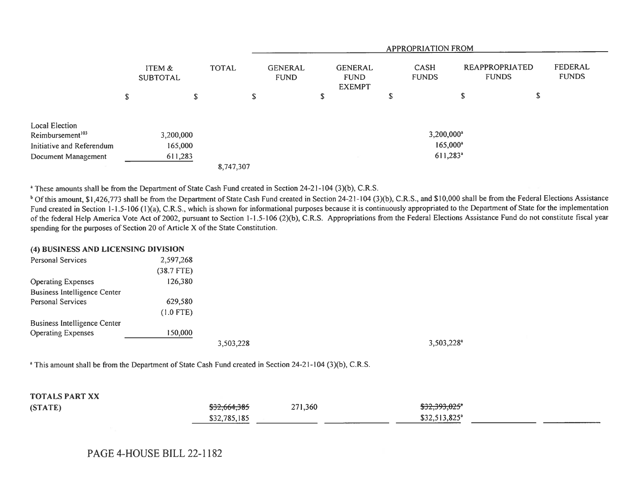|                              |                           |   |              | APPROPRIATION FROM            |   |                                                |    |                             |                                |   |                         |
|------------------------------|---------------------------|---|--------------|-------------------------------|---|------------------------------------------------|----|-----------------------------|--------------------------------|---|-------------------------|
|                              | ITEM &<br><b>SUBTOTAL</b> |   | <b>TOTAL</b> | <b>GENERAL</b><br><b>FUND</b> |   | <b>GENERAL</b><br><b>FUND</b><br><b>EXEMPT</b> |    | <b>CASH</b><br><b>FUNDS</b> | REAPPROPRIATED<br><b>FUNDS</b> |   | FEDERAL<br><b>FUNDS</b> |
|                              | \$                        | S | S            |                               | S |                                                | \$ |                             | ъ                              | P |                         |
| Local Election               |                           |   |              |                               |   |                                                |    |                             |                                |   |                         |
| Reimbursement <sup>103</sup> | 3,200,000                 |   |              |                               |   |                                                |    | $3,200,000^a$               |                                |   |                         |
| Initiative and Referendum    | 165,000                   |   |              |                               |   |                                                |    | $165,000^{\circ}$           |                                |   |                         |
| Document Management          | 611,283                   |   |              |                               |   |                                                |    | $611,283$ <sup>a</sup>      |                                |   |                         |
|                              |                           |   | 8,747,307    |                               |   |                                                |    |                             |                                |   |                         |

<sup>a</sup> These amounts shall be from the Department of State Cash Fund created in Section 24-21-104 (3)(b), C.R.S.

<sup>b</sup> Of this amount, \$1,426,773 shall be from the Department of State Cash Fund created in Section 24-21-104 (3)(b), C.R.S., and \$10,000 shall be from the Federal Elections Assistance Fund created in Section 1-1.5-106 (1)(a), C.R.S., which is shown for informational purposes because it is continuously appropriated to the Department of State for the implementation of the federal Help America Vote Act of 2002, pursuant to Section 1-1.5-106 (2)(b), C.R.S. Appropriations from the Federal Elections Assistance Fund do not constitute fiscal year spending for the purposes of Section 20 of Article X of the State Constitution.

## (4) BUSINESS AND LICENSING DIVISION

| Personal Services                   | 2,597,268    |           |               |
|-------------------------------------|--------------|-----------|---------------|
|                                     | $(38.7$ FTE) |           |               |
| <b>Operating Expenses</b>           | 126,380      |           |               |
| <b>Business Intelligence Center</b> |              |           |               |
| <b>Personal Services</b>            | 629,580      |           |               |
|                                     | $(1.0$ FTE)  |           |               |
| <b>Business Intelligence Center</b> |              |           |               |
| <b>Operating Expenses</b>           | 150,000      |           |               |
|                                     |              | 3,503,228 | $3,503,228^a$ |

<sup>a</sup> This amount shall be from the Department of State Cash Fund created in Section 24-21-104 (3)(b), C.R.S.

| <b>TOTALS PART XX</b> |              |           |                                     |
|-----------------------|--------------|-----------|-------------------------------------|
| (STATE)               | \$32,664,385 | 271,360   | \$32,393,025"                       |
|                       | \$32,785,185 | _________ | $$32,513,825$ <sup>a</sup><br>_____ |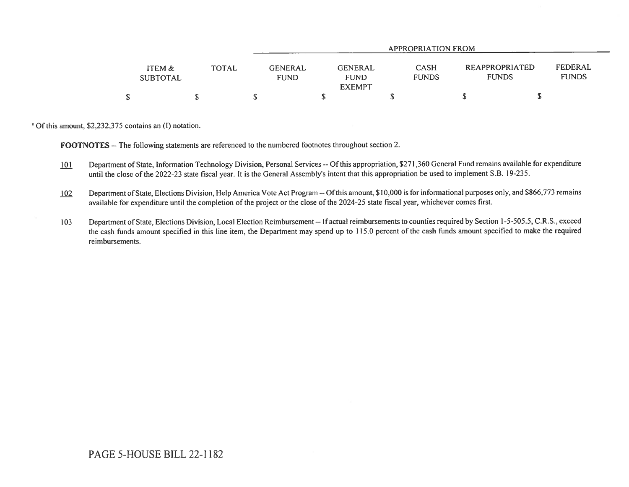|                           |              | APPROPRIATION FROM                                                              |                             |                                |                         |  |  |  |  |
|---------------------------|--------------|---------------------------------------------------------------------------------|-----------------------------|--------------------------------|-------------------------|--|--|--|--|
| ITEM &<br><b>SUBTOTAL</b> | <b>TOTAL</b> | <b>GENERAL</b><br><b>GENERAL</b><br><b>FUND</b><br><b>FUND</b><br><b>EXEMPT</b> | <b>CASH</b><br><b>FUNDS</b> | REAPPROPRIATED<br><b>FUNDS</b> | FEDERAL<br><b>FUNDS</b> |  |  |  |  |
| \$                        |              |                                                                                 |                             |                                |                         |  |  |  |  |

<sup>a</sup> Of this amount, \$2,232,375 contains an (I) notation.

FOOTNOTES -- The following statements are referenced to the numbered footnotes throughout section 2.

- 101 Department of State, Information Technology Division, Personal Services -- Of this appropriation, \$271,360 General Fund remains available for expenditure until the close of the 2022-23 state fiscal year. It is the General Assembly's intent that this appropriation be used to implement S.B. 19-235.
- 102 Department of State, Elections Division, Help America Vote Act Program -- Of this amount, \$10,000 is for informational purposes only, and \$866,773 remains available for expenditure until the completion of the project or the close of the 2024-25 state fiscal year, whichever comes first.
- 103 Department of State, Elections Division, Local Election Reimbursement -- If actual reimbursements to counties required by Section 1-5-505.5, C.R.S., exceed the cash funds amount specified in this line item, the Department may spend up to 115.0 percent of the cash funds amount specified to make the required reimbursements.